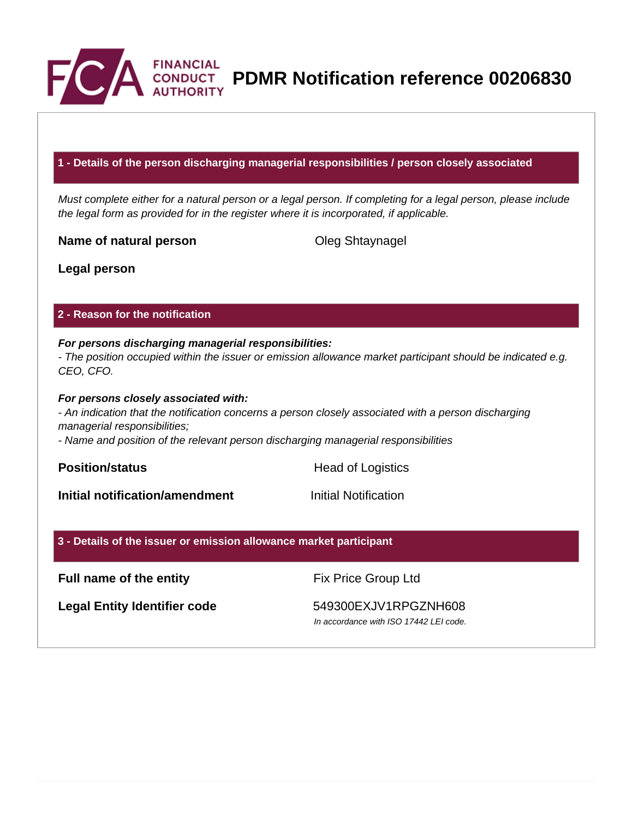

**PDMR Notification reference 00206830**

# **1 - Details of the person discharging managerial responsibilities / person closely associated**

Must complete either for a natural person or a legal person. If completing for a legal person, please include the legal form as provided for in the register where it is incorporated, if applicable.

**Name of natural person Cleg Shtaynagel** 

**Legal person**

# **2 - Reason for the notification**

# **For persons discharging managerial responsibilities:**

- The position occupied within the issuer or emission allowance market participant should be indicated e.g. CEO, CFO.

#### **For persons closely associated with:**

- An indication that the notification concerns a person closely associated with a person discharging managerial responsibilities;

- Name and position of the relevant person discharging managerial responsibilities

**Position/status Head of Logistics** 

**Initial notification/amendment Initial Notification** 

### **3 - Details of the issuer or emission allowance market participant**

**Full name of the entity** Fix Price Group Ltd

Legal Entity Identifier code 549300EXJV1RPGZNH608

In accordance with ISO 17442 LEI code.